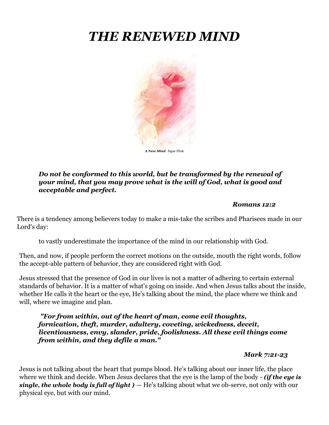# *THE RENEWED MIND*



#### *Do not be conformed to this world, but be transformed by the renewal of your mind, that you may prove what is the will of God, what is good and acceptable and perfect.*

#### *Romans 12:2*

There is a tendency among believers today to make a mis-take the scribes and Pharisees made in our Lord's day:

to vastly underestimate the importance of the mind in our relationship with God.

Then, and now, if people perform the correct motions on the outside, mouth the right words, follow the accept-able pattern of behavior, they are considered right with God.

Jesus stressed that the presence of God in our lives is not a matter of adhering to certain external standards of behavior. It is a matter of what's going on inside. And when Jesus talks about the inside, whether He calls it the heart or the eye, He's talking about the mind, the place where we think and will, where we imagine and plan.

*"For from within, out of the heart of man, come evil thoughts, fornication, theft, murder, adultery, coveting, wickedness, deceit, licentiousness, envy, slander, pride, foolishness. All these evil things come from within, and they defile a man."*

*Mark 7:21-23*

Jesus is not talking about the heart that pumps blood. He's talking about our inner life, the place where we think and decide. When Jesus declares that the eye is the lamp of the body - *(if the eye is single, the whole body is full of light )* — He's talking about what we ob-serve, not only with our physical eye, but with our mind.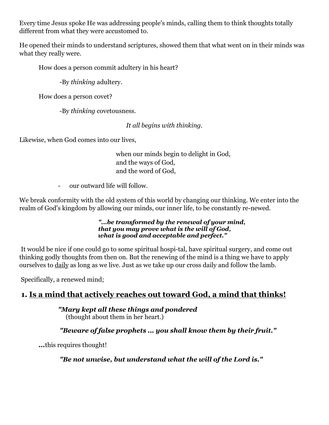Every time Jesus spoke He was addressing people's minds, calling them to think thoughts totally different from what they were accustomed to.

He opened their minds to understand scriptures, showed them that what went on in their minds was what they really were.

How does a person commit adultery in his heart?

-By *thinking* adultery.

How does a person covet?

-By *thinking* covetousness.

*It all begins with thinking.* 

Likewise, when God comes into our lives,

when our minds begin to delight in God, and the ways of God, and the word of God,

- our outward life will follow.

We break conformity with the old system of this world by changing our thinking. We enter into the realm of God's kingdom by allowing our minds, our inner life, to be constantly re-newed.

#### *"...be transformed by the renewal of your mind, that you may prove what is the will of God, what is good and acceptable and perfect."*

It would be nice if one could go to some spiritual hospi-tal, have spiritual surgery, and come out thinking godly thoughts from then on. But the renewing of the mind is a thing we have to apply ourselves to daily as long as we live. Just as we take up our cross daily and follow the lamb.

Specifically, a renewed mind;

# **1. Is a mind that actively reaches out toward God, a mind that thinks!**

*"Mary kept all these things and pondered*  (thought about them in her heart.)

*"Beware of false prophets ... you shall know them by their fruit."*

*...*this requires thought!

*"Be not unwise, but understand what the will of the Lord is."*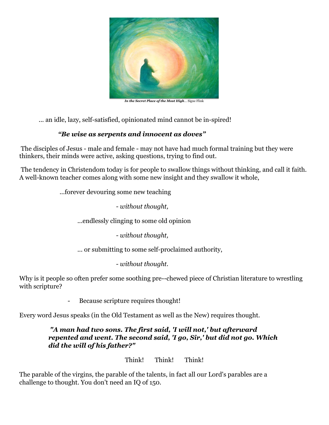

... an idle, lazy, self-satisfied, opinionated mind cannot be in-spired!

# *"Be wise as serpents and innocent as doves"*

The disciples of Jesus - male and female - may not have had much formal training but they were thinkers, their minds were active, asking questions, trying to find out.

The tendency in Christendom today is for people to swallow things without thinking, and call it faith. A well-known teacher comes along with some new insight and they swallow it whole,

...forever devouring some new teaching

*- without thought,*

...endlessly clinging to some old opinion

*- without thought,*

... or submitting to some self-proclaimed authority,

*- without thought.*

Why is it people so often prefer some soothing pre--chewed piece of Christian literature to wrestling with scripture?

Because scripture requires thought!

Every word Jesus speaks (in the Old Testament as well as the New) requires thought.

# *"A man had two sons. The first said, 'I will not,' but afterward repented and went. The second said, 'I go, Sir,' but did not go. Which did the will of his father?"*

Think! Think! Think!

The parable of the virgins, the parable of the talents, in fact all our Lord's parables are a challenge to thought. You don't need an IQ of 150.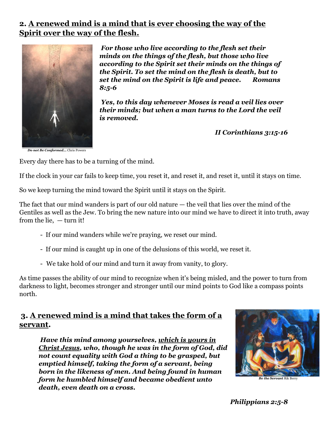# **2. A renewed mind is a mind that is ever choosing the way of the Spirit over the way of the flesh.**



*For those who live according to the flesh set their minds on the things of the flesh, but those who live according to the Spirit set their minds on the things of the Spirit. To set the mind on the flesh is death, but to set the mind on the Spirit is life and peace. Romans 8:5-6*

*Yes, to this day whenever Moses is read a veil lies over their minds; but when a man turns to the Lord the veil is removed.*

*II Corinthians 3:15-16* 

*Do not Be Conformed***…** Chris Powers

Every day there has to be a turning of the mind.

If the clock in your car fails to keep time, you reset it, and reset it, and reset it, until it stays on time.

So we keep turning the mind toward the Spirit until it stays on the Spirit.

The fact that our mind wanders is part of our old nature — the veil that lies over the mind of the Gentiles as well as the Jew. To bring the new nature into our mind we have to direct it into truth, away from the lie, — turn it!

- If our mind wanders while we're praying, we reset our mind.
- If our mind is caught up in one of the delusions of this world, we reset it.
- We take hold of our mind and turn it away from vanity, to glory.

As time passes the ability of our mind to recognize when it's being misled, and the power to turn from darkness to light, becomes stronger and stronger until our mind points to God like a compass points north.

# **3. A renewed mind is a mind that takes the form of a servant.**

*Have this mind among yourselves, which is yours in Christ Jesus, who, though he was in the form of God, did not count equality with God a thing to be grasped, but emptied himself, taking the form of a servant, being born in the likeness of men. And being found in human form he humbled himself and became obedient unto death, even death on a cross.*



*Philippians 2:5-8*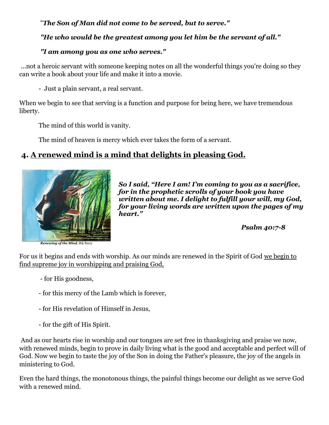# "*The Son of Man did not come to be served, but to serve."*

## *"He who would be the greatest among you let him be the servant of all."*

## *"I am among you as one who serves."*

...not a heroic servant with someone keeping notes on all the wonderful things you're doing so they can write a book about your life and make it into a movie.

- Just a plain servant, a real servant.

When we begin to see that serving is a function and purpose for being here, we have tremendous liberty.

The mind of this world is vanity.

The mind of heaven is mercy which ever takes the form of a servant.

# **4. A renewed mind is a mind that delights in pleasing God.**



*So I said, "Here I am! I'm coming to you as a sacrifice, for in the prophetic scrolls of your book you have written about me. I delight to fulfill your will, my God, for your living words are written upon the pages of my heart."*

*Psalm 40:7-8*

*Renewing of the Mind*..Rik Berry

For us it begins and ends with worship. As our minds are renewed in the Spirit of God we begin to find supreme joy in worshipping and praising God,

- for His goodness,
- for this mercy of the Lamb which is forever,
- for His revelation of Himself in Jesus,
- for the gift of His Spirit.

And as our hearts rise in worship and our tongues are set free in thanksgiving and praise we now, with renewed minds, begin to prove in daily living what is the good and acceptable and perfect will of God. Now we begin to taste the joy of the Son in doing the Father's pleasure, the joy of the angels in ministering to God.

Even the hard things, the monotonous things, the painful things become our delight as we serve God with a renewed mind.